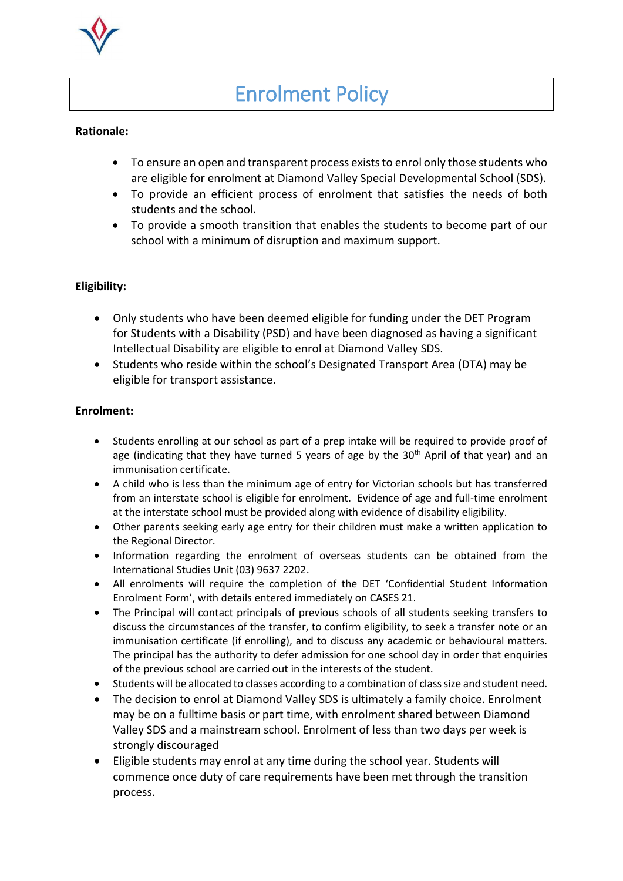# Enrolment Policy

## **Rationale:**

- To ensure an open and transparent process exists to enrol only those students who are eligible for enrolment at Diamond Valley Special Developmental School (SDS).
- To provide an efficient process of enrolment that satisfies the needs of both students and the school.
- To provide a smooth transition that enables the students to become part of our school with a minimum of disruption and maximum support.

### **Eligibility:**

- Only students who have been deemed eligible for funding under the DET Program for Students with a Disability (PSD) and have been diagnosed as having a significant Intellectual Disability are eligible to enrol at Diamond Valley SDS.
- Students who reside within the school's Designated Transport Area (DTA) may be eligible for transport assistance.

### **Enrolment:**

- Students enrolling at our school as part of a prep intake will be required to provide proof of age (indicating that they have turned 5 years of age by the  $30<sup>th</sup>$  April of that year) and an immunisation certificate.
- A child who is less than the minimum age of entry for Victorian schools but has transferred from an interstate school is eligible for enrolment. Evidence of age and full-time enrolment at the interstate school must be provided along with evidence of disability eligibility.
- Other parents seeking early age entry for their children must make a written application to the Regional Director.
- Information regarding the enrolment of overseas students can be obtained from the International Studies Unit (03) 9637 2202.
- All enrolments will require the completion of the DET 'Confidential Student Information Enrolment Form', with details entered immediately on CASES 21.
- The Principal will contact principals of previous schools of all students seeking transfers to discuss the circumstances of the transfer, to confirm eligibility, to seek a transfer note or an immunisation certificate (if enrolling), and to discuss any academic or behavioural matters. The principal has the authority to defer admission for one school day in order that enquiries of the previous school are carried out in the interests of the student.
- Students will be allocated to classes according to a combination of class size and student need.
- The decision to enrol at Diamond Valley SDS is ultimately a family choice. Enrolment may be on a fulltime basis or part time, with enrolment shared between Diamond Valley SDS and a mainstream school. Enrolment of less than two days per week is strongly discouraged
- Eligible students may enrol at any time during the school year. Students will commence once duty of care requirements have been met through the transition process.